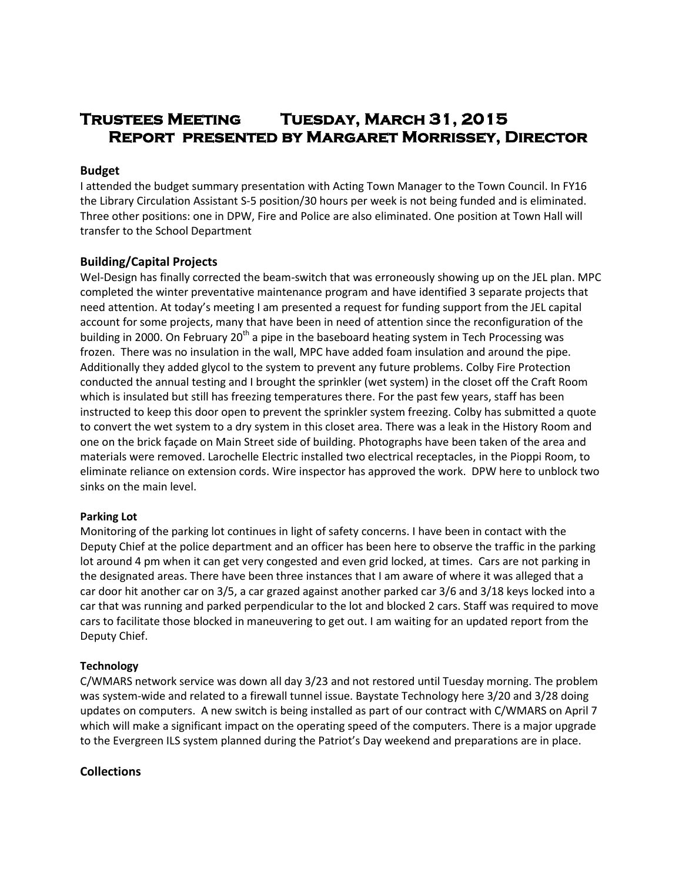# **Trustees Meeting Tuesday, March 31, 2015 Report presented by Margaret Morrissey, Director**

#### **Budget**

I attended the budget summary presentation with Acting Town Manager to the Town Council. In FY16 the Library Circulation Assistant S-5 position/30 hours per week is not being funded and is eliminated. Three other positions: one in DPW, Fire and Police are also eliminated. One position at Town Hall will transfer to the School Department

## **Building/Capital Projects**

Wel-Design has finally corrected the beam-switch that was erroneously showing up on the JEL plan. MPC completed the winter preventative maintenance program and have identified 3 separate projects that need attention. At today's meeting I am presented a request for funding support from the JEL capital account for some projects, many that have been in need of attention since the reconfiguration of the building in 2000. On February 20<sup>th</sup> a pipe in the baseboard heating system in Tech Processing was frozen. There was no insulation in the wall, MPC have added foam insulation and around the pipe. Additionally they added glycol to the system to prevent any future problems. Colby Fire Protection conducted the annual testing and I brought the sprinkler (wet system) in the closet off the Craft Room which is insulated but still has freezing temperatures there. For the past few years, staff has been instructed to keep this door open to prevent the sprinkler system freezing. Colby has submitted a quote to convert the wet system to a dry system in this closet area. There was a leak in the History Room and one on the brick façade on Main Street side of building. Photographs have been taken of the area and materials were removed. Larochelle Electric installed two electrical receptacles, in the Pioppi Room, to eliminate reliance on extension cords. Wire inspector has approved the work. DPW here to unblock two sinks on the main level.

#### **Parking Lot**

Monitoring of the parking lot continues in light of safety concerns. I have been in contact with the Deputy Chief at the police department and an officer has been here to observe the traffic in the parking lot around 4 pm when it can get very congested and even grid locked, at times. Cars are not parking in the designated areas. There have been three instances that I am aware of where it was alleged that a car door hit another car on 3/5, a car grazed against another parked car 3/6 and 3/18 keys locked into a car that was running and parked perpendicular to the lot and blocked 2 cars. Staff was required to move cars to facilitate those blocked in maneuvering to get out. I am waiting for an updated report from the Deputy Chief.

#### **Technology**

C/WMARS network service was down all day 3/23 and not restored until Tuesday morning. The problem was system-wide and related to a firewall tunnel issue. Baystate Technology here 3/20 and 3/28 doing updates on computers. A new switch is being installed as part of our contract with C/WMARS on April 7 which will make a significant impact on the operating speed of the computers. There is a major upgrade to the Evergreen ILS system planned during the Patriot's Day weekend and preparations are in place.

# **Collections**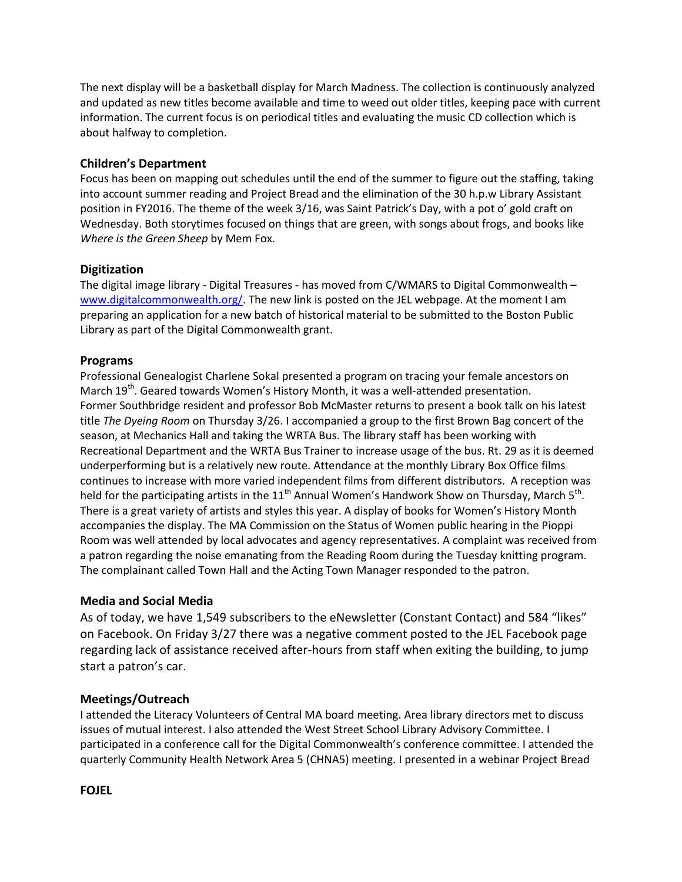The next display will be a basketball display for March Madness. The collection is continuously analyzed and updated as new titles become available and time to weed out older titles, keeping pace with current information. The current focus is on periodical titles and evaluating the music CD collection which is about halfway to completion.

## **Children's Department**

Focus has been on mapping out schedules until the end of the summer to figure out the staffing, taking into account summer reading and Project Bread and the elimination of the 30 h.p.w Library Assistant position in FY2016. The theme of the week 3/16, was Saint Patrick's Day, with a pot o' gold craft on Wednesday. Both storytimes focused on things that are green, with songs about frogs, and books like *Where is the Green Sheep* by Mem Fox.

## **Digitization**

The digital image library - Digital Treasures - has moved from C/WMARS to Digital Commonwealth – [www.digitalcommonwealth.org/.](http://www.digitalcommonwealth.org/) The new link is posted on the JEL webpage. At the moment I am preparing an application for a new batch of historical material to be submitted to the Boston Public Library as part of the Digital Commonwealth grant.

## **Programs**

Professional Genealogist Charlene Sokal presented a program on tracing your female ancestors on March 19<sup>th</sup>. Geared towards Women's History Month, it was a well-attended presentation. Former Southbridge resident and professor Bob McMaster returns to present a book talk on his latest title *The Dyeing Room* on Thursday 3/26. I accompanied a group to the first Brown Bag concert of the season, at Mechanics Hall and taking the WRTA Bus. The library staff has been working with Recreational Department and the WRTA Bus Trainer to increase usage of the bus. Rt. 29 as it is deemed underperforming but is a relatively new route. Attendance at the monthly Library Box Office films continues to increase with more varied independent films from different distributors. A reception was held for the participating artists in the 11<sup>th</sup> Annual Women's Handwork Show on Thursday, March 5<sup>th</sup>. There is a great variety of artists and styles this year. A display of books for Women's History Month accompanies the display. The MA Commission on the Status of Women public hearing in the Pioppi Room was well attended by local advocates and agency representatives. A complaint was received from a patron regarding the noise emanating from the Reading Room during the Tuesday knitting program. The complainant called Town Hall and the Acting Town Manager responded to the patron.

#### **Media and Social Media**

As of today, we have 1,549 subscribers to the eNewsletter (Constant Contact) and 584 "likes" on Facebook. On Friday 3/27 there was a negative comment posted to the JEL Facebook page regarding lack of assistance received after-hours from staff when exiting the building, to jump start a patron's car.

# **Meetings/Outreach**

I attended the Literacy Volunteers of Central MA board meeting. Area library directors met to discuss issues of mutual interest. I also attended the West Street School Library Advisory Committee. I participated in a conference call for the Digital Commonwealth's conference committee. I attended the quarterly Community Health Network Area 5 (CHNA5) meeting. I presented in a webinar Project Bread

#### **FOJEL**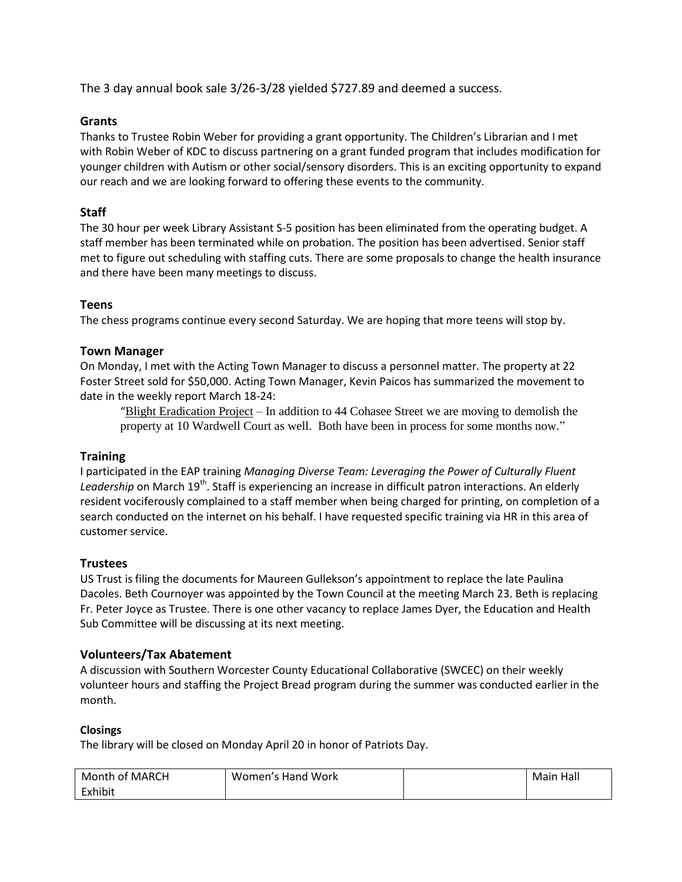The 3 day annual book sale 3/26-3/28 yielded \$727.89 and deemed a success.

# **Grants**

Thanks to Trustee Robin Weber for providing a grant opportunity. The Children's Librarian and I met with Robin Weber of KDC to discuss partnering on a grant funded program that includes modification for younger children with Autism or other social/sensory disorders. This is an exciting opportunity to expand our reach and we are looking forward to offering these events to the community.

# **Staff**

The 30 hour per week Library Assistant S-5 position has been eliminated from the operating budget. A staff member has been terminated while on probation. The position has been advertised. Senior staff met to figure out scheduling with staffing cuts. There are some proposals to change the health insurance and there have been many meetings to discuss.

## **Teens**

The chess programs continue every second Saturday. We are hoping that more teens will stop by.

## **Town Manager**

On Monday, I met with the Acting Town Manager to discuss a personnel matter. The property at 22 Foster Street sold for \$50,000. Acting Town Manager, Kevin Paicos has summarized the movement to date in the weekly report March 18-24:

"Blight Eradication Project – In addition to 44 Cohasee Street we are moving to demolish the property at 10 Wardwell Court as well. Both have been in process for some months now."

# **Training**

I participated in the EAP training *Managing Diverse Team: Leveraging the Power of Culturally Fluent*  Leadership on March 19<sup>th</sup>. Staff is experiencing an increase in difficult patron interactions. An elderly resident vociferously complained to a staff member when being charged for printing, on completion of a search conducted on the internet on his behalf. I have requested specific training via HR in this area of customer service.

# **Trustees**

US Trust is filing the documents for Maureen Gullekson's appointment to replace the late Paulina Dacoles. Beth Cournoyer was appointed by the Town Council at the meeting March 23. Beth is replacing Fr. Peter Joyce as Trustee. There is one other vacancy to replace James Dyer, the Education and Health Sub Committee will be discussing at its next meeting.

# **Volunteers/Tax Abatement**

A discussion with Southern Worcester County Educational Collaborative (SWCEC) on their weekly volunteer hours and staffing the Project Bread program during the summer was conducted earlier in the month.

# **Closings**

The library will be closed on Monday April 20 in honor of Patriots Day.

| Month of MARCH | Women's Hand Work | Main Hall |
|----------------|-------------------|-----------|
| Exhibit        |                   |           |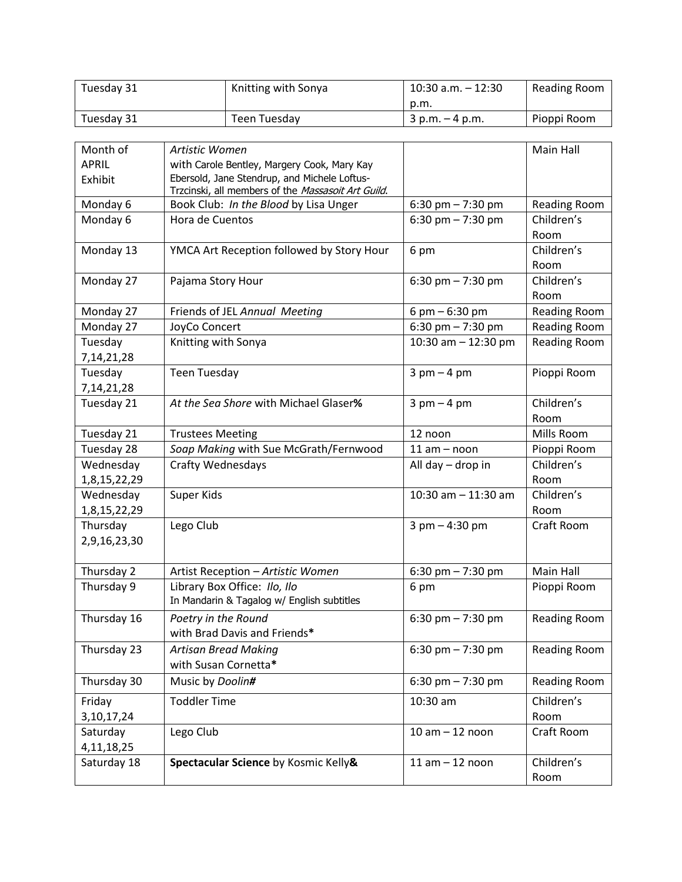| Tuesday 31 | Knitting with Sonya | $10:30$ a.m. $-12:30$ | Reading Room |
|------------|---------------------|-----------------------|--------------|
|            |                     | p.m.                  |              |
| Tuesday 31 | Teen Tuesdav        | $3$ p.m. $-4$ p.m.    | Pioppi Room  |

| Month of      | Artistic Women                                                                                     |                       | Main Hall           |
|---------------|----------------------------------------------------------------------------------------------------|-----------------------|---------------------|
| <b>APRIL</b>  | with Carole Bentley, Margery Cook, Mary Kay                                                        |                       |                     |
| Exhibit       | Ebersold, Jane Stendrup, and Michele Loftus-<br>Trzcinski, all members of the Massasoit Art Guild. |                       |                     |
| Monday 6      | Book Club: In the Blood by Lisa Unger                                                              | 6:30 pm $- 7:30$ pm   | <b>Reading Room</b> |
| Monday 6      | Hora de Cuentos                                                                                    | 6:30 pm $- 7:30$ pm   | Children's<br>Room  |
| Monday 13     | YMCA Art Reception followed by Story Hour                                                          | 6 pm                  | Children's<br>Room  |
| Monday 27     | Pajama Story Hour                                                                                  | 6:30 pm $- 7:30$ pm   | Children's<br>Room  |
| Monday 27     | Friends of JEL Annual Meeting                                                                      | 6 pm $-6:30$ pm       | <b>Reading Room</b> |
| Monday 27     | JoyCo Concert                                                                                      | 6:30 pm $- 7:30$ pm   | <b>Reading Room</b> |
| Tuesday       | Knitting with Sonya                                                                                | 10:30 am $-$ 12:30 pm | <b>Reading Room</b> |
| 7, 14, 21, 28 |                                                                                                    |                       |                     |
| Tuesday       | <b>Teen Tuesday</b>                                                                                | $3$ pm $-4$ pm        | Pioppi Room         |
| 7, 14, 21, 28 |                                                                                                    |                       |                     |
| Tuesday 21    | At the Sea Shore with Michael Glaser%                                                              | $3$ pm $-4$ pm        | Children's          |
|               |                                                                                                    |                       | Room                |
| Tuesday 21    | <b>Trustees Meeting</b>                                                                            | 12 noon               | Mills Room          |
| Tuesday 28    | Soap Making with Sue McGrath/Fernwood                                                              | $11 am - noon$        | Pioppi Room         |
| Wednesday     | Crafty Wednesdays                                                                                  | All day - drop in     | Children's          |
| 1,8,15,22,29  |                                                                                                    |                       | Room                |
| Wednesday     | Super Kids                                                                                         | 10:30 am $-$ 11:30 am | Children's          |
| 1,8,15,22,29  |                                                                                                    |                       | Room                |
| Thursday      | Lego Club                                                                                          | $3$ pm $-$ 4:30 pm    | Craft Room          |
| 2,9,16,23,30  |                                                                                                    |                       |                     |
| Thursday 2    | Artist Reception - Artistic Women                                                                  | 6:30 pm $- 7:30$ pm   | Main Hall           |
| Thursday 9    | Library Box Office: Ilo, Ilo<br>In Mandarin & Tagalog w/ English subtitles                         | 6 pm                  | Pioppi Room         |
| Thursday 16   | Poetry in the Round<br>with Brad Davis and Friends*                                                | 6:30 pm $- 7:30$ pm   | Reading Room        |
| Thursday 23   | <b>Artisan Bread Making</b><br>with Susan Cornetta*                                                | 6:30 pm $- 7:30$ pm   | <b>Reading Room</b> |
| Thursday 30   | Music by Doolin#                                                                                   | 6:30 pm $- 7:30$ pm   | <b>Reading Room</b> |
| Friday        | <b>Toddler Time</b>                                                                                | 10:30 am              | Children's          |
| 3, 10, 17, 24 |                                                                                                    |                       | Room                |
| Saturday      | Lego Club                                                                                          | $10 am - 12 noon$     | Craft Room          |
| 4, 11, 18, 25 |                                                                                                    |                       |                     |
| Saturday 18   | Spectacular Science by Kosmic Kelly&                                                               | $11$ am $-12$ noon    | Children's<br>Room  |